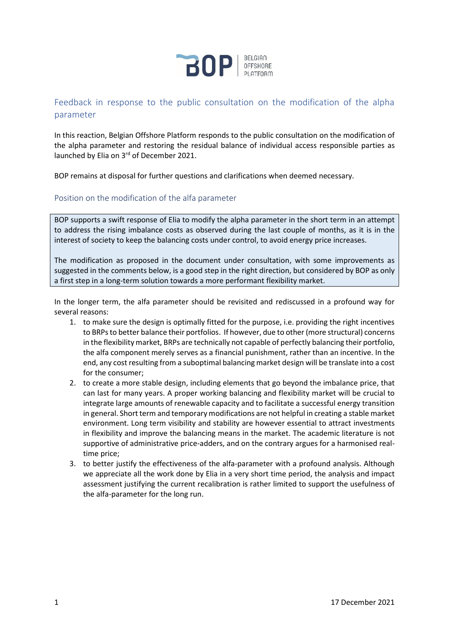

# Feedback in response to the public consultation on the modification of the alpha parameter

In this reaction, Belgian Offshore Platform responds to the public consultation on the modification of the alpha parameter and restoring the residual balance of individual access responsible parties as launched by Elia on 3rd of December 2021.

BOP remains at disposal for further questions and clarifications when deemed necessary.

## Position on the modification of the alfa parameter

BOP supports a swift response of Elia to modify the alpha parameter in the short term in an attempt to address the rising imbalance costs as observed during the last couple of months, as it is in the interest of society to keep the balancing costs under control, to avoid energy price increases.

The modification as proposed in the document under consultation, with some improvements as suggested in the comments below, is a good step in the right direction, but considered by BOP as only a first step in a long-term solution towards a more performant flexibility market.

In the longer term, the alfa parameter should be revisited and rediscussed in a profound way for several reasons:

- 1. to make sure the design is optimally fitted for the purpose, i.e. providing the right incentives to BRPs to better balance their portfolios. If however, due to other (more structural) concerns in the flexibility market, BRPs are technically not capable of perfectly balancing their portfolio, the alfa component merely serves as a financial punishment, rather than an incentive. In the end, any cost resulting from a suboptimal balancing market design will be translate into a cost for the consumer;
- 2. to create a more stable design, including elements that go beyond the imbalance price, that can last for many years. A proper working balancing and flexibility market will be crucial to integrate large amounts of renewable capacity and to facilitate a successful energy transition in general. Short term and temporary modifications are not helpful in creating a stable market environment. Long term visibility and stability are however essential to attract investments in flexibility and improve the balancing means in the market. The academic literature is not supportive of administrative price-adders, and on the contrary argues for a harmonised realtime price;
- 3. to better justify the effectiveness of the alfa-parameter with a profound analysis. Although we appreciate all the work done by Elia in a very short time period, the analysis and impact assessment justifying the current recalibration is rather limited to support the usefulness of the alfa-parameter for the long run.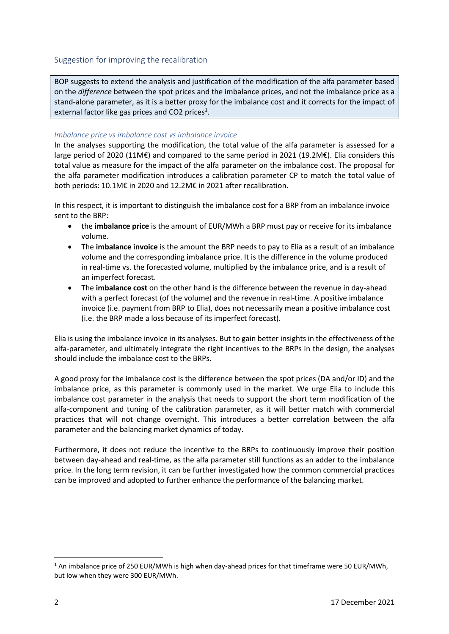BOP suggests to extend the analysis and justification of the modification of the alfa parameter based on the *difference* between the spot prices and the imbalance prices, and not the imbalance price as a stand-alone parameter, as it is a better proxy for the imbalance cost and it corrects for the impact of external factor like gas prices and CO2 prices<sup>1</sup>.

### *Imbalance price vs imbalance cost vs imbalance invoice*

In the analyses supporting the modification, the total value of the alfa parameter is assessed for a large period of 2020 (11M€) and compared to the same period in 2021 (19.2M€). Elia considers this total value as measure for the impact of the alfa parameter on the imbalance cost. The proposal for the alfa parameter modification introduces a calibration parameter CP to match the total value of both periods: 10.1M€ in 2020 and 12.2M€ in 2021 after recalibration.

In this respect, it is important to distinguish the imbalance cost for a BRP from an imbalance invoice sent to the BRP:

- the **imbalance price** is the amount of EUR/MWh a BRP must pay or receive for its imbalance volume.
- The **imbalance invoice** is the amount the BRP needs to pay to Elia as a result of an imbalance volume and the corresponding imbalance price. It is the difference in the volume produced in real-time vs. the forecasted volume, multiplied by the imbalance price, and is a result of an imperfect forecast.
- The **imbalance cost** on the other hand is the difference between the revenue in day-ahead with a perfect forecast (of the volume) and the revenue in real-time. A positive imbalance invoice (i.e. payment from BRP to Elia), does not necessarily mean a positive imbalance cost (i.e. the BRP made a loss because of its imperfect forecast).

Elia is using the imbalance invoice in its analyses. But to gain better insights in the effectiveness of the alfa-parameter, and ultimately integrate the right incentives to the BRPs in the design, the analyses should include the imbalance cost to the BRPs.

A good proxy for the imbalance cost is the difference between the spot prices (DA and/or ID) and the imbalance price, as this parameter is commonly used in the market. We urge Elia to include this imbalance cost parameter in the analysis that needs to support the short term modification of the alfa-component and tuning of the calibration parameter, as it will better match with commercial practices that will not change overnight. This introduces a better correlation between the alfa parameter and the balancing market dynamics of today.

Furthermore, it does not reduce the incentive to the BRPs to continuously improve their position between day-ahead and real-time, as the alfa parameter still functions as an adder to the imbalance price. In the long term revision, it can be further investigated how the common commercial practices can be improved and adopted to further enhance the performance of the balancing market.

 $1$  An imbalance price of 250 EUR/MWh is high when day-ahead prices for that timeframe were 50 EUR/MWh, but low when they were 300 EUR/MWh.